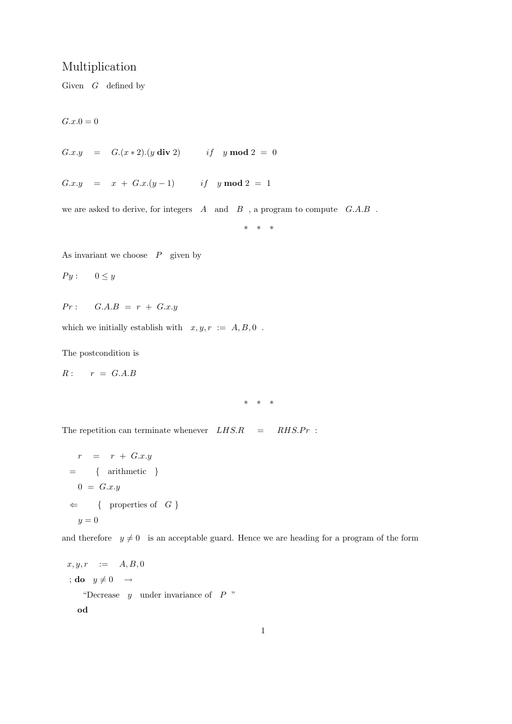## Multiplication

Given  $G$  defined by

 $G.x.0 = 0$ 

G.x.y =  $G.(x * 2).(y \text{ div } 2)$  if y mod  $2 = 0$ 

G.x.y =  $x + G.x.(y-1)$  if y mod 2 = 1

we are asked to derive, for integers  $A$  and  $B$ , a program to compute  $G.A.B$ .

\* \* \*

As invariant we choose  $P$  given by

 $Py: 0 \leq y$ 

$$
Pr: \quad G.A.B = r + G.x.y
$$

which we initially establish with  $x, y, r := A, B, 0$ .

The postcondition is

$$
R: \qquad r = G.A.B
$$

\* \* \*

The repetition can terminate whenever  $LHS.R$  =  $RHS.Pr$  :

$$
r = r + G.x.y
$$
  
= { arithmetic }  

$$
0 = G.x.y
$$
  

$$
\Leftarrow { properties of G }
$$
  

$$
y = 0
$$

and therefore  $y \neq 0$  is an acceptable guard. Hence we are heading for a program of the form

$$
x, y, r := A, B, 0
$$
  
;**do**  $y \neq 0 \rightarrow$   
"Decrease *y* under invariance of *P*"  
od